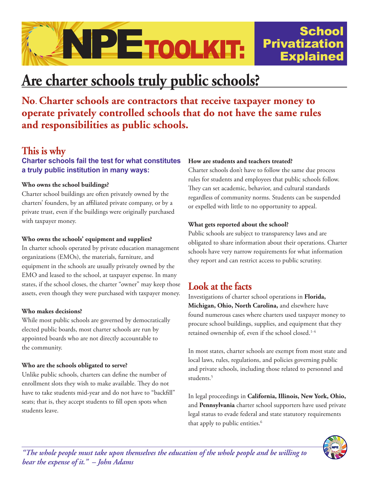

# **Are charter schools truly public schools?**

**No**. **Charter schools are contractors that receive taxpayer money to operate privately controlled schools that do not have the same rules and responsibilities as public schools.** 

## **This is why**

#### **Charter schools fail the test for what constitutes a truly public institution in many ways:**

#### **Who owns the school buildings?**

Charter school buildings are often privately owned by the charters' founders, by an affiliated private company, or by a private trust, even if the buildings were originally purchased with taxpayer money.

#### **Who owns the schools' equipment and supplies?**

In charter schools operated by private education management organizations (EMOs), the materials, furniture, and equipment in the schools are usually privately owned by the EMO and leased to the school, at taxpayer expense. In many states, if the school closes, the charter "owner" may keep those assets, even though they were purchased with taxpayer money.

#### **Who makes decisions?**

While most public schools are governed by democratically elected public boards, most charter schools are run by appointed boards who are not directly accountable to the community.

#### **Who are the schools obligated to serve?**

Unlike public schools, charters can define the number of enrollment slots they wish to make available. They do not have to take students mid-year and do not have to "backfill" seats; that is, they accept students to fill open spots when students leave.

#### **How are students and teachers treated?**

Charter schools don't have to follow the same due process rules for students and employees that public schools follow. They can set academic, behavior, and cultural standards regardless of community norms. Students can be suspended or expelled with little to no opportunity to appeal.

**School** 

Explained

#### **What gets reported about the school?**

Public schools are subject to transparency laws and are obligated to share information about their operations. Charter schools have very narrow requirements for what information they report and can restrict access to public scrutiny.

# **Look at the facts**

Investigations of charter school operations in **Florida, Michigan, Ohio, North Carolina,** and elsewhere have found numerous cases where charters used taxpayer money to procure school buildings, supplies, and equipment that they retained ownership of, even if the school closed.<sup>1-4</sup>

In most states, charter schools are exempt from most state and local laws, rules, regulations, and policies governing public and private schools, including those related to personnel and students.<sup>5</sup>

In legal proceedings in **California, Illinois, New York, Ohio,** and **Pennsylvania** charter school supporters have used private legal status to evade federal and state statutory requirements that apply to public entities.<sup>6</sup>